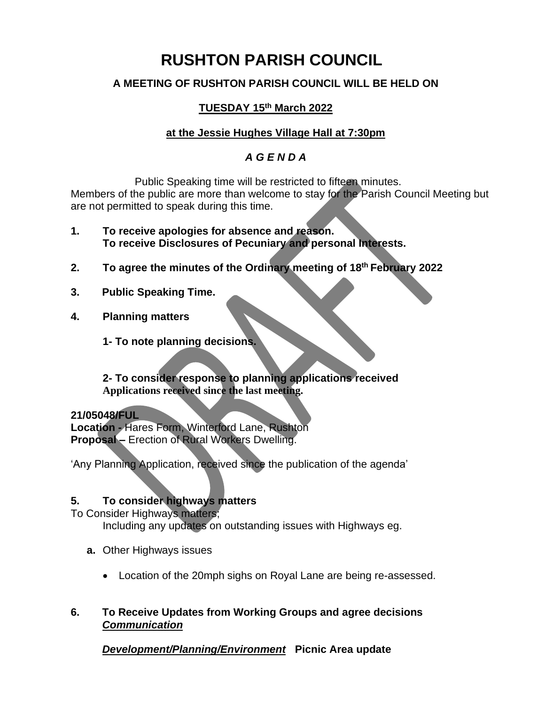# **RUSHTON PARISH COUNCIL**

# **A MEETING OF RUSHTON PARISH COUNCIL WILL BE HELD ON**

# **TUESDAY 15th March 2022**

# **at the Jessie Hughes Village Hall at 7:30pm**

# *A G E N D A*

Public Speaking time will be restricted to fifteen minutes. Members of the public are more than welcome to stay for the Parish Council Meeting but are not permitted to speak during this time.

- **1. To receive apologies for absence and reason. To receive Disclosures of Pecuniary and personal Interests.**
- **2. To agree the minutes of the Ordinary meeting of 18 th February 2022**
- **3. Public Speaking Time.**
- **4. Planning matters**
	- **1- To note planning decisions.**

#### **2- To consider response to planning applications received Applications received since the last meeting.**

#### **21/05048/FUL**

**Location -** Hares Form, Winterford Lane, Rushton **Proposal –** Erection of Rural Workers Dwelling.

'Any Planning Application, received since the publication of the agenda'

#### **5. To consider highways matters**

To Consider Highways matters;

Including any updates on outstanding issues with Highways eg.

- **a.** Other Highways issues
	- Location of the 20mph sighs on Royal Lane are being re-assessed.
- **6. To Receive Updates from Working Groups and agree decisions** *Communication*

*Development/Planning/Environment* **Picnic Area update**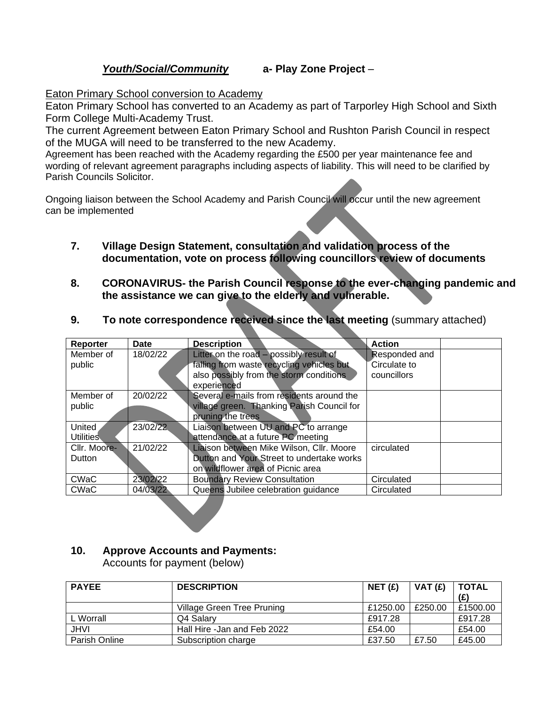#### *Youth/Social/Community* **a- Play Zone Project** –

Eaton Primary School conversion to Academy

Eaton Primary School has converted to an Academy as part of Tarporley High School and Sixth Form College Multi-Academy Trust.

The current Agreement between Eaton Primary School and Rushton Parish Council in respect of the MUGA will need to be transferred to the new Academy.

Agreement has been reached with the Academy regarding the £500 per year maintenance fee and wording of relevant agreement paragraphs including aspects of liability. This will need to be clarified by Parish Councils Solicitor.

Ongoing liaison between the School Academy and Parish Council will occur until the new agreement can be implemented

- **7. Village Design Statement, consultation and validation process of the documentation, vote on process following councillors review of documents**
- **8. CORONAVIRUS- the Parish Council response to the ever-changing pandemic and the assistance we can give to the elderly and vulnerable.**

| Reporter         | <b>Date</b> | <b>Description</b>                         | <b>Action</b> |
|------------------|-------------|--------------------------------------------|---------------|
| Member of        | 18/02/22    | Litter on the road - possibly result of    | Responded and |
| public           |             | falling from waste recycling vehicles but  | Circulate to  |
|                  |             | also possibly from the storm conditions    | councillors   |
|                  |             | experienced                                |               |
| Member of        | 20/02/22    | Several e-mails from residents around the  |               |
| public           |             | village green. Thanking Parish Council for |               |
|                  |             | pruning the trees                          |               |
| United           | 23/02/22    | Liaison between UU and PC to arrange       |               |
| <b>Utilities</b> |             | attendance at a future PC meeting          |               |
| Cllr. Moore-     | 21/02/22    | Liaison between Mike Wilson, Cllr. Moore   | circulated    |
| Dutton           |             | Dutton and Your Street to undertake works  |               |
|                  |             | on wildflower area of Picnic area          |               |
| <b>CWaC</b>      | 23/02/22    | <b>Boundary Review Consultation</b>        | Circulated    |
| CWaC             | 04/03/22    | Queens Jubilee celebration guidance        | Circulated    |

**9. To note correspondence received since the last meeting** (summary attached)

# **10. Approve Accounts and Payments:**

Accounts for payment (below)

| <b>PAYEE</b>  | <b>DESCRIPTION</b>          | NET(f)   | VAT $(f)$ | <b>TOTAL</b> |
|---------------|-----------------------------|----------|-----------|--------------|
|               | Village Green Tree Pruning  | £1250.00 | £250.00   | £1500.00     |
| L Worrall     | Q4 Salary                   | £917.28  |           | £917.28      |
| <b>JHVI</b>   | Hall Hire -Jan and Feb 2022 | £54.00   |           | £54.00       |
| Parish Online | Subscription charge         | £37.50   | £7.50     | £45.00       |